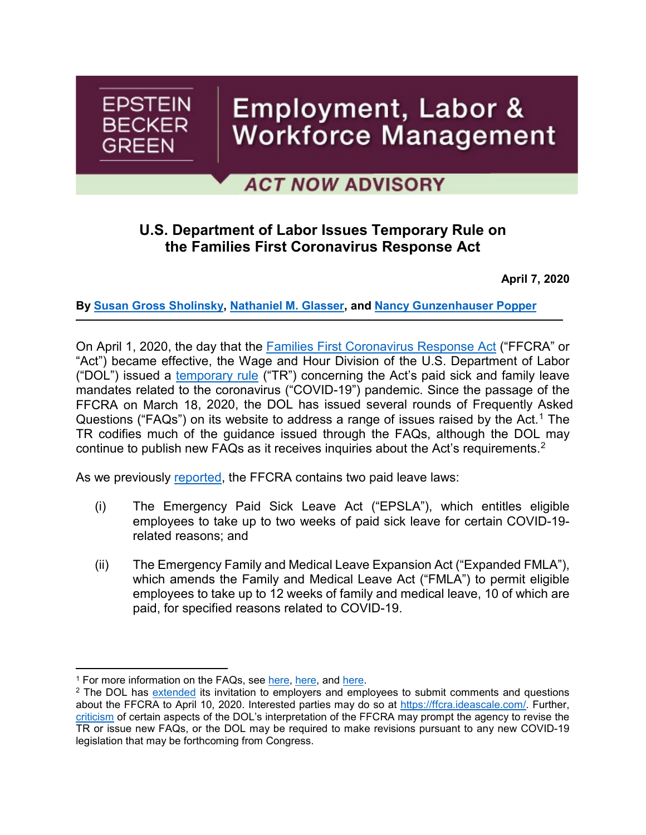

# **ACT NOW ADVISORY**

# **U.S. Department of Labor Issues Temporary Rule on the Families First Coronavirus Response Act**

**April 7, 2020**

**By [Susan Gross Sholinsky,](https://www.ebglaw.com/susan-gross-sholinsky/) [Nathaniel M. Glasser,](https://www.ebglaw.com/nathaniel-m-glasser/) and [Nancy Gunzenhauser Popper](https://www.ebglaw.com/nancy-gunzenhauser-popper/)**

On April 1, 2020, the day that the [Families First Coronavirus Response Act](https://www.congress.gov/bill/116th-congress/house-bill/6201/text) ("FFCRA" or "Act") became effective, the Wage and Hour Division of the U.S. Department of Labor ("DOL") issued a [temporary rule](https://www.federalregister.gov/documents/2020/04/06/2020-07237/paid-leave-under-the-families-first-coronavirus-response-act) ("TR") concerning the Act's paid sick and family leave mandates related to the coronavirus ("COVID-19") pandemic. Since the passage of the FFCRA on March 18, 2020, the DOL has issued several rounds of Frequently Asked Questions ("FAQs") on its website to address a range of issues raised by the Act.<sup>[1](#page-0-0)</sup> The TR codifies much of the guidance issued through the FAQs, although the DOL may continue to publish new FAQs as it receives inquiries about the Act's requirements.[2](#page-0-1)

As we previously [reported,](https://www.ebglaw.com/news/families-first-coronavirus-response-act-employers-new-paid-family-and-sick-leave-obligations/) the FFCRA contains two paid leave laws:

- (i) The Emergency Paid Sick Leave Act ("EPSLA"), which entitles eligible employees to take up to two weeks of paid sick leave for certain COVID-19 related reasons; and
- (ii) The Emergency Family and Medical Leave Expansion Act ("Expanded FMLA"), which amends the Family and Medical Leave Act ("FMLA") to permit eligible employees to take up to 12 weeks of family and medical leave, 10 of which are paid, for specified reasons related to COVID-19.

l

<span id="page-0-0"></span><sup>&</sup>lt;sup>1</sup> For more information on the FAQs, see [here,](https://www.workforcebulletin.com/2020/03/26/in-advance-of-april-1-effective-date-dol-issues-guidance-on-families-first-coronavirus-response-act/) here, and [here.](https://www.workforcebulletin.com/2020/04/06/additional-dol-updates-to-ffcra-questions-and-answers-qualifying-reasons-for-leave-child-care-and-interaction-with-other-leaves/)

<span id="page-0-1"></span><sup>&</sup>lt;sup>2</sup> The DOL has [extended](https://www.wagehourblog.com/2020/04/articles/dol-enforcement/u-s-dol-renews-its-request-to-and-extends-the-deadline-for-employers-and-employees-to-comment-on-the-dols-recent-interpretive-guidance-that-it-issued-in-connection-with-the-families-first/) its invitation to employers and employees to submit comments and questions about the FFCRA to April 10, 2020. Interested parties may do so at [https://ffcra.ideascale.com/.](https://ffcra.ideascale.com/) Further, [criticism](https://www.help.senate.gov/imo/media/doc/Murray-DeLauro%20-%20FFCRA%20Paid%20Sick%20Family%20Leave%20Oversight%20-%204-1-2020.pdf) of certain aspects of the DOL's interpretation of the FFCRA may prompt the agency to revise the TR or issue new FAQs, or the DOL may be required to make revisions pursuant to any new COVID-19 legislation that may be forthcoming from Congress.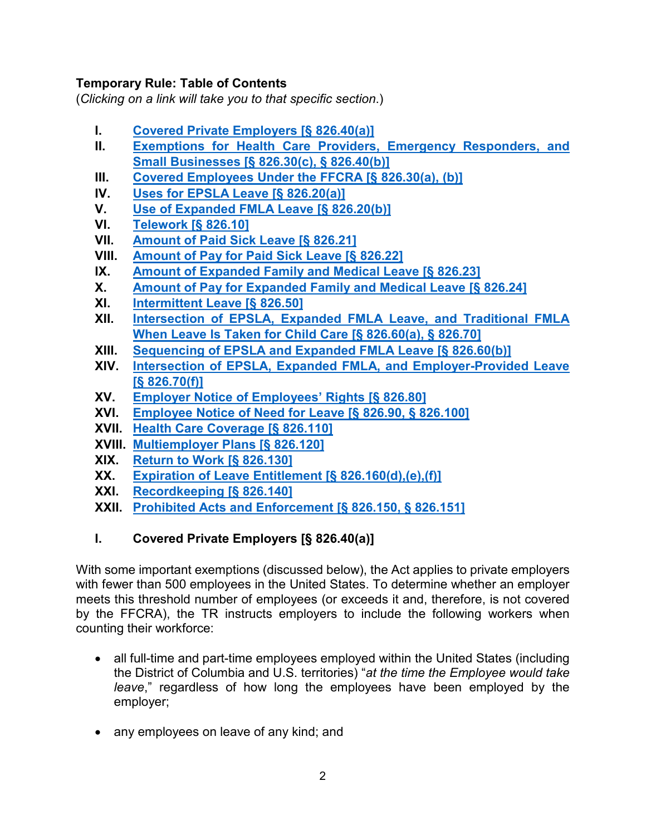### **Temporary Rule: Table of Contents**

(*Clicking on a link will take you to that specific section*.)

- **I. [Covered Private Employers \[§ 826.40\(a\)\]](#page-1-0)**
- **II. [Exemptions for Health Care Providers, Emergency Responders, and](#page-2-0)  [Small Businesses \[§ 826.30\(c\), § 826.40\(b\)\]](#page-2-0)**
- **III. [Covered Employees Under the FFCRA \[§ 826.30\(a\), \(b\)\]](#page-4-0)**
- **IV. [Uses for EPSLA Leave \[§](#page-4-1) 826.20(a)]**
- **V. [Use of Expanded FMLA Leave \[§ 826.20\(b\)\]](#page-7-0)**
- **VI. [Telework \[§ 826.10\]](#page-7-1)**
- **VII. [Amount of Paid Sick Leave \[§ 826.21\]](#page-7-2)**
- **VIII. [Amount of Pay for Paid Sick Leave \[§ 826.22\]](#page-8-0)**
- **IX. [Amount of Expanded Family and Medical Leave \[§ 826.23\]](#page-9-0)**
- **X. [Amount of Pay for Expanded Family and Medical Leave \[§](#page-9-1) 826.24]**
- **XI. [Intermittent Leave \[§ 826.50\]](#page-10-0)**
- **XII. Intersection of [EPSLA, Expanded FMLA Leave, and Traditional FMLA](#page-10-1)  [When Leave Is Taken for Child Care \[§](#page-10-1) 826.60(a), § 826.70]**
- **XIII. [Sequencing of EPSLA and Expanded FMLA Leave \[§](#page-11-0) 826.60(b)]**
- **XIV. [Intersection of EPSLA, Expanded FMLA,](#page-12-0) and Employer-Provided Leave [\[§ 826.70\(f\)\]](#page-12-0)**
- **XV. [Employer Notice of Employees' Rights \[§](#page-12-1) 826.80]**
- **XVI. [Employee Notice of Need for Leave \[§](#page-12-2) 826.90, § 826.100]**
- **XVII. [Health Care Coverage \[§](#page-13-0) 826.110]**
- **XVIII. [Multiemployer Plans \[§](#page-14-0) 826.120]**
- **XIX. [Return to Work \[§](#page-14-1) 826.130]**
- **XX. [Expiration of Leave Entitlement \[§ 826.160\(d\),\(e\),\(f\)\]](#page-15-0)**
- **XXI. [Recordkeeping \[§](#page-16-0) 826.140]**
- **XXII. [Prohibited Acts and Enforcement](#page-16-1) [§ 826.150, § 826.151]**

### <span id="page-1-0"></span>**I. Covered Private Employers [§ 826.40(a)]**

With some important exemptions (discussed below), the Act applies to private employers with fewer than 500 employees in the United States. To determine whether an employer meets this threshold number of employees (or exceeds it and, therefore, is not covered by the FFCRA), the TR instructs employers to include the following workers when counting their workforce:

- all full-time and part-time employees employed within the United States (including the District of Columbia and U.S. territories) "*at the time the Employee would take leave*," regardless of how long the employees have been employed by the employer;
- any employees on leave of any kind; and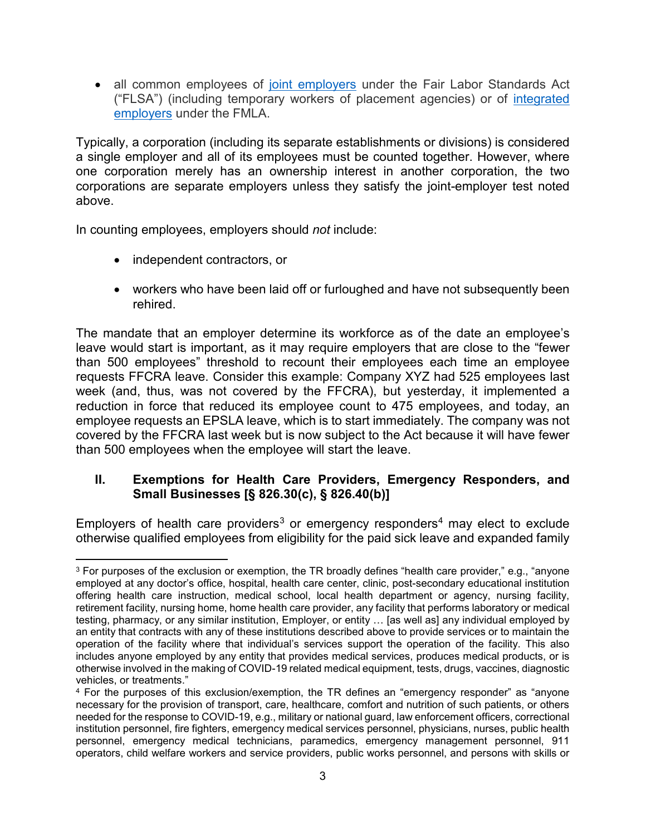• all common employees of [joint employers](https://www.dol.gov/agencies/whd/flsa/2020-joint-employment/fact-sheet) under the Fair Labor Standards Act ("FLSA") (including temporary workers of placement agencies) or of [integrated](https://uscode.house.gov/view.xhtml?path=/prelim@title29/chapter28&edition=prelim)  [employers](https://uscode.house.gov/view.xhtml?path=/prelim@title29/chapter28&edition=prelim) under the FMLA.

Typically, a corporation (including its separate establishments or divisions) is considered a single employer and all of its employees must be counted together. However, where one corporation merely has an ownership interest in another corporation, the two corporations are separate employers unless they satisfy the joint-employer test noted above.

In counting employees, employers should *not* include:

- independent contractors, or
- workers who have been laid off or furloughed and have not subsequently been rehired.

The mandate that an employer determine its workforce as of the date an employee's leave would start is important, as it may require employers that are close to the "fewer than 500 employees" threshold to recount their employees each time an employee requests FFCRA leave. Consider this example: Company XYZ had 525 employees last week (and, thus, was not covered by the FFCRA), but yesterday, it implemented a reduction in force that reduced its employee count to 475 employees, and today, an employee requests an EPSLA leave, which is to start immediately. The company was not covered by the FFCRA last week but is now subject to the Act because it will have fewer than 500 employees when the employee will start the leave.

### <span id="page-2-0"></span>**II. Exemptions for Health Care Providers, Emergency Responders, and Small Businesses [§ 826.30(c), § 826.40(b)]**

Employers of health care providers<sup>[3](#page-2-1)</sup> or emergency responders<sup>[4](#page-2-2)</sup> may elect to exclude otherwise qualified employees from eligibility for the paid sick leave and expanded family

<span id="page-2-1"></span>l <sup>3</sup> For purposes of the exclusion or exemption, the TR broadly defines "health care provider," e.g., "anyone employed at any doctor's office, hospital, health care center, clinic, post-secondary educational institution offering health care instruction, medical school, local health department or agency, nursing facility, retirement facility, nursing home, home health care provider, any facility that performs laboratory or medical testing, pharmacy, or any similar institution, Employer, or entity ... [as well as] any individual employed by an entity that contracts with any of these institutions described above to provide services or to maintain the operation of the facility where that individual's services support the operation of the facility. This also includes anyone employed by any entity that provides medical services, produces medical products, or is otherwise involved in the making of COVID-19 related medical equipment, tests, drugs, vaccines, diagnostic vehicles, or treatments."

<span id="page-2-2"></span><sup>4</sup> For the purposes of this exclusion/exemption, the TR defines an "emergency responder" as "anyone necessary for the provision of transport, care, healthcare, comfort and nutrition of such patients, or others needed for the response to COVID-19, e.g., military or national guard, law enforcement officers, correctional institution personnel, fire fighters, emergency medical services personnel, physicians, nurses, public health personnel, emergency medical technicians, paramedics, emergency management personnel, 911 operators, child welfare workers and service providers, public works personnel, and persons with skills or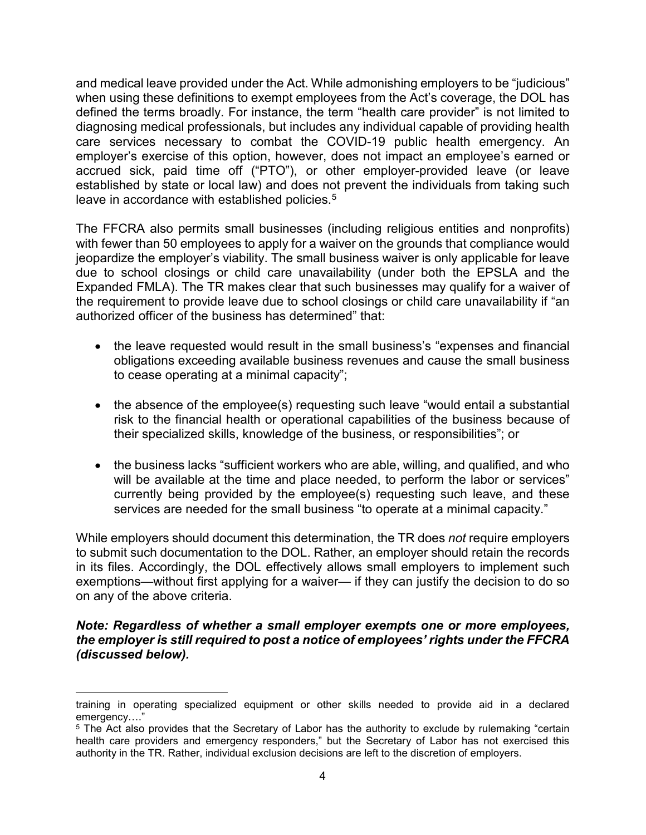and medical leave provided under the Act. While admonishing employers to be "judicious" when using these definitions to exempt employees from the Act's coverage, the DOL has defined the terms broadly. For instance, the term "health care provider" is not limited to diagnosing medical professionals, but includes any individual capable of providing health care services necessary to combat the COVID-19 public health emergency. An employer's exercise of this option, however, does not impact an employee's earned or accrued sick, paid time off ("PTO"), or other employer-provided leave (or leave established by state or local law) and does not prevent the individuals from taking such leave in accordance with established policies.<sup>[5](#page-3-0)</sup>

The FFCRA also permits small businesses (including religious entities and nonprofits) with fewer than 50 employees to apply for a waiver on the grounds that compliance would jeopardize the employer's viability. The small business waiver is only applicable for leave due to school closings or child care unavailability (under both the EPSLA and the Expanded FMLA). The TR makes clear that such businesses may qualify for a waiver of the requirement to provide leave due to school closings or child care unavailability if "an authorized officer of the business has determined" that:

- the leave requested would result in the small business's "expenses and financial obligations exceeding available business revenues and cause the small business to cease operating at a minimal capacity";
- the absence of the employee(s) requesting such leave "would entail a substantial risk to the financial health or operational capabilities of the business because of their specialized skills, knowledge of the business, or responsibilities"; or
- the business lacks "sufficient workers who are able, willing, and qualified, and who will be available at the time and place needed, to perform the labor or services" currently being provided by the employee(s) requesting such leave, and these services are needed for the small business "to operate at a minimal capacity."

While employers should document this determination, the TR does *not* require employers to submit such documentation to the DOL. Rather, an employer should retain the records in its files. Accordingly, the DOL effectively allows small employers to implement such exemptions—without first applying for a waiver— if they can justify the decision to do so on any of the above criteria.

#### *Note: Regardless of whether a small employer exempts one or more employees, the employer is still required to post a notice of employees' rights under the FFCRA (discussed below).*

 $\overline{\phantom{a}}$ training in operating specialized equipment or other skills needed to provide aid in a declared emergency…."

<span id="page-3-0"></span><sup>5</sup> The Act also provides that the Secretary of Labor has the authority to exclude by rulemaking "certain health care providers and emergency responders," but the Secretary of Labor has not exercised this authority in the TR. Rather, individual exclusion decisions are left to the discretion of employers.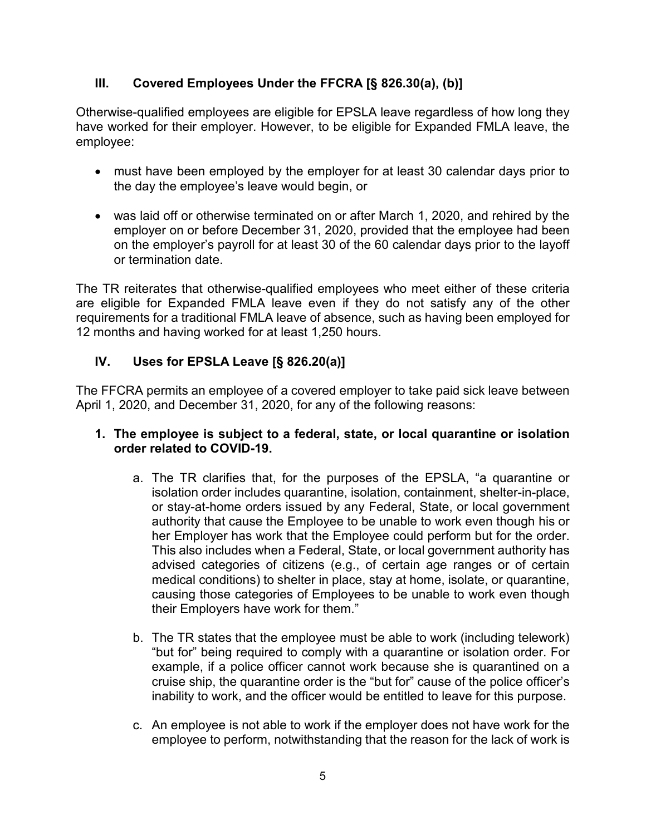### <span id="page-4-0"></span>**III. Covered Employees Under the FFCRA [§ 826.30(a), (b)]**

Otherwise-qualified employees are eligible for EPSLA leave regardless of how long they have worked for their employer. However, to be eligible for Expanded FMLA leave, the employee:

- must have been employed by the employer for at least 30 calendar days prior to the day the employee's leave would begin, or
- was laid off or otherwise terminated on or after March 1, 2020, and rehired by the employer on or before December 31, 2020, provided that the employee had been on the employer's payroll for at least 30 of the 60 calendar days prior to the layoff or termination date.

The TR reiterates that otherwise-qualified employees who meet either of these criteria are eligible for Expanded FMLA leave even if they do not satisfy any of the other requirements for a traditional FMLA leave of absence, such as having been employed for 12 months and having worked for at least 1,250 hours.

### <span id="page-4-1"></span>**IV. Uses for EPSLA Leave [§ 826.20(a)]**

The FFCRA permits an employee of a covered employer to take paid sick leave between April 1, 2020, and December 31, 2020, for any of the following reasons:

#### **1. The employee is subject to a federal, state, or local quarantine or isolation order related to COVID-19.**

- a. The TR clarifies that, for the purposes of the EPSLA, "a quarantine or isolation order includes quarantine, isolation, containment, shelter-in-place, or stay-at-home orders issued by any Federal, State, or local government authority that cause the Employee to be unable to work even though his or her Employer has work that the Employee could perform but for the order. This also includes when a Federal, State, or local government authority has advised categories of citizens (e.g., of certain age ranges or of certain medical conditions) to shelter in place, stay at home, isolate, or quarantine, causing those categories of Employees to be unable to work even though their Employers have work for them."
- b. The TR states that the employee must be able to work (including telework) "but for" being required to comply with a quarantine or isolation order. For example, if a police officer cannot work because she is quarantined on a cruise ship, the quarantine order is the "but for" cause of the police officer's inability to work, and the officer would be entitled to leave for this purpose.
- c. An employee is not able to work if the employer does not have work for the employee to perform, notwithstanding that the reason for the lack of work is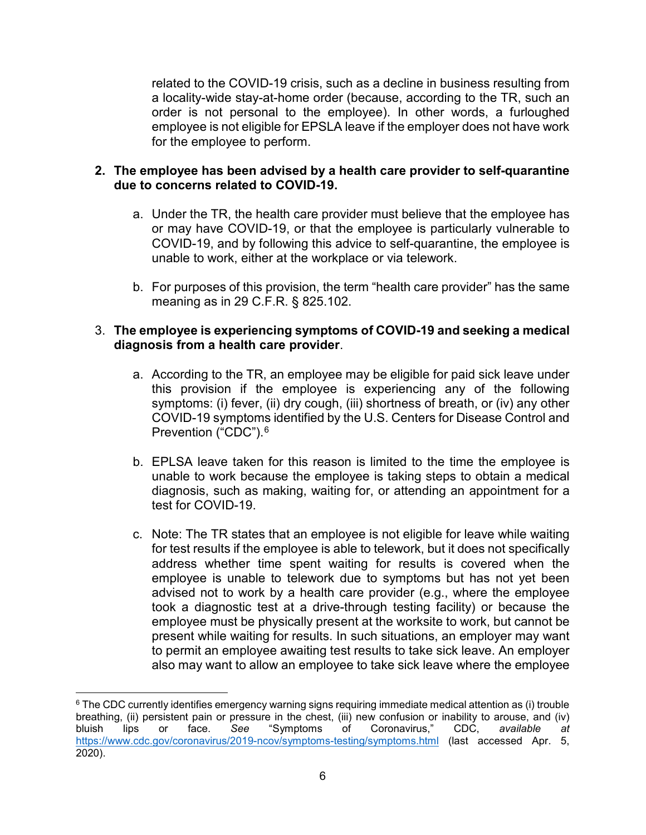related to the COVID-19 crisis, such as a decline in business resulting from a locality-wide stay-at-home order (because, according to the TR, such an order is not personal to the employee). In other words, a furloughed employee is not eligible for EPSLA leave if the employer does not have work for the employee to perform.

#### **2. The employee has been advised by a health care provider to self-quarantine due to concerns related to COVID-19.**

- a. Under the TR, the health care provider must believe that the employee has or may have COVID-19, or that the employee is particularly vulnerable to COVID-19, and by following this advice to self-quarantine, the employee is unable to work, either at the workplace or via telework.
- b. For purposes of this provision, the term "health care provider" has the same meaning as in 29 C.F.R. § 825.102.

#### 3. **The employee is experiencing symptoms of COVID-19 and seeking a medical diagnosis from a health care provider**.

- a. According to the TR, an employee may be eligible for paid sick leave under this provision if the employee is experiencing any of the following symptoms: (i) fever, (ii) dry cough, (iii) shortness of breath, or (iv) any other COVID-19 symptoms identified by the U.S. Centers for Disease Control and Prevention ("CDC"). [6](#page-5-0)
- b. EPLSA leave taken for this reason is limited to the time the employee is unable to work because the employee is taking steps to obtain a medical diagnosis, such as making, waiting for, or attending an appointment for a test for COVID-19.
- c. Note: The TR states that an employee is not eligible for leave while waiting for test results if the employee is able to telework, but it does not specifically address whether time spent waiting for results is covered when the employee is unable to telework due to symptoms but has not yet been advised not to work by a health care provider (e.g., where the employee took a diagnostic test at a drive-through testing facility) or because the employee must be physically present at the worksite to work, but cannot be present while waiting for results. In such situations, an employer may want to permit an employee awaiting test results to take sick leave. An employer also may want to allow an employee to take sick leave where the employee

<span id="page-5-0"></span> $\overline{\phantom{a}}$ <sup>6</sup> The CDC currently identifies emergency warning signs requiring immediate medical attention as (i) trouble breathing, (ii) persistent pain or pressure in the chest, (iii) new confusion or inability to arouse, and (iv)<br>bluish lips or face. See "Symptoms of Coronavirus," CDC, available at bluish lips or face. *See* "Symptoms of Coronavirus," CDC, *available at* <https://www.cdc.gov/coronavirus/2019-ncov/symptoms-testing/symptoms.html> (last accessed Apr. 5, 2020).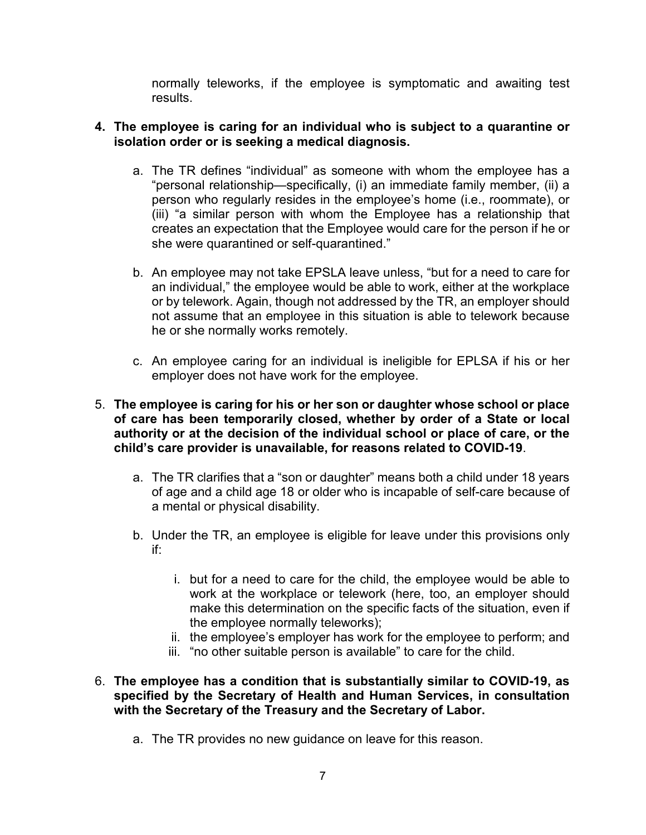normally teleworks, if the employee is symptomatic and awaiting test results.

#### **4. The employee is caring for an individual who is subject to a quarantine or isolation order or is seeking a medical diagnosis.**

- a. The TR defines "individual" as someone with whom the employee has a "personal relationship—specifically, (i) an immediate family member, (ii) a person who regularly resides in the employee's home (i.e., roommate), or (iii) "a similar person with whom the Employee has a relationship that creates an expectation that the Employee would care for the person if he or she were quarantined or self-quarantined."
- b. An employee may not take EPSLA leave unless, "but for a need to care for an individual," the employee would be able to work, either at the workplace or by telework. Again, though not addressed by the TR, an employer should not assume that an employee in this situation is able to telework because he or she normally works remotely.
- c. An employee caring for an individual is ineligible for EPLSA if his or her employer does not have work for the employee.

#### 5. **The employee is caring for his or her son or daughter whose school or place of care has been temporarily closed, whether by order of a State or local authority or at the decision of the individual school or place of care, or the child's care provider is unavailable, for reasons related to COVID-19**.

- a. The TR clarifies that a "son or daughter" means both a child under 18 years of age and a child age 18 or older who is incapable of self-care because of a mental or physical disability.
- b. Under the TR, an employee is eligible for leave under this provisions only if:
	- i. but for a need to care for the child, the employee would be able to work at the workplace or telework (here, too, an employer should make this determination on the specific facts of the situation, even if the employee normally teleworks);
	- ii. the employee's employer has work for the employee to perform; and
	- iii. "no other suitable person is available" to care for the child.
- 6. **The employee has a condition that is substantially similar to COVID-19, as specified by the Secretary of Health and Human Services, in consultation with the Secretary of the Treasury and the Secretary of Labor.**
	- a. The TR provides no new guidance on leave for this reason.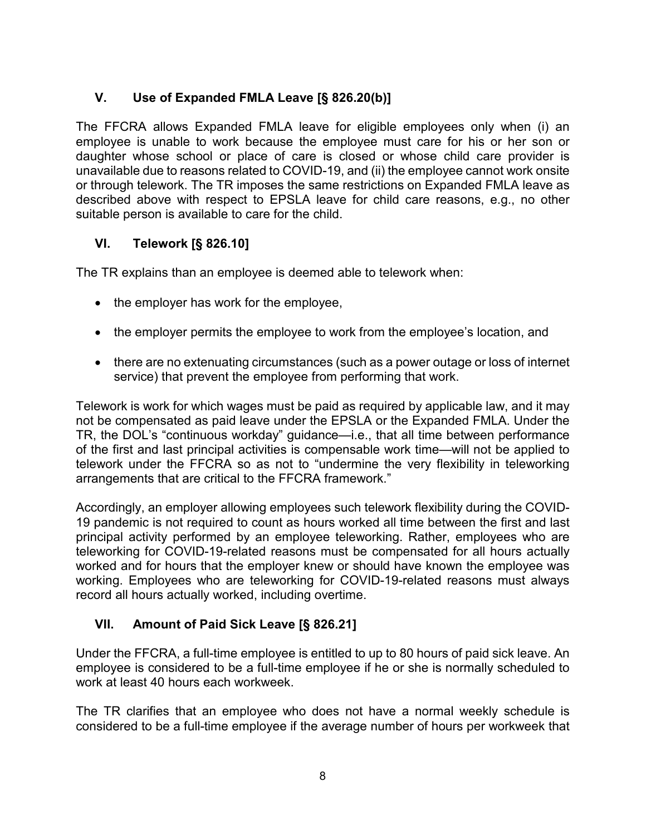# <span id="page-7-0"></span>**V. Use of Expanded FMLA Leave [§ 826.20(b)]**

The FFCRA allows Expanded FMLA leave for eligible employees only when (i) an employee is unable to work because the employee must care for his or her son or daughter whose school or place of care is closed or whose child care provider is unavailable due to reasons related to COVID-19, and (ii) the employee cannot work onsite or through telework. The TR imposes the same restrictions on Expanded FMLA leave as described above with respect to EPSLA leave for child care reasons, e.g., no other suitable person is available to care for the child.

### <span id="page-7-1"></span>**VI. Telework [§ 826.10]**

The TR explains than an employee is deemed able to telework when:

- the employer has work for the employee,
- the employer permits the employee to work from the employee's location, and
- there are no extenuating circumstances (such as a power outage or loss of internet service) that prevent the employee from performing that work.

Telework is work for which wages must be paid as required by applicable law, and it may not be compensated as paid leave under the EPSLA or the Expanded FMLA. Under the TR, the DOL's "continuous workday" guidance—i.e., that all time between performance of the first and last principal activities is compensable work time—will not be applied to telework under the FFCRA so as not to "undermine the very flexibility in teleworking arrangements that are critical to the FFCRA framework."

Accordingly, an employer allowing employees such telework flexibility during the COVID-19 pandemic is not required to count as hours worked all time between the first and last principal activity performed by an employee teleworking. Rather, employees who are teleworking for COVID-19-related reasons must be compensated for all hours actually worked and for hours that the employer knew or should have known the employee was working. Employees who are teleworking for COVID-19-related reasons must always record all hours actually worked, including overtime.

### <span id="page-7-2"></span>**VII. Amount of Paid Sick Leave [§ 826.21]**

Under the FFCRA, a full-time employee is entitled to up to 80 hours of paid sick leave. An employee is considered to be a full-time employee if he or she is normally scheduled to work at least 40 hours each workweek.

The TR clarifies that an employee who does not have a normal weekly schedule is considered to be a full-time employee if the average number of hours per workweek that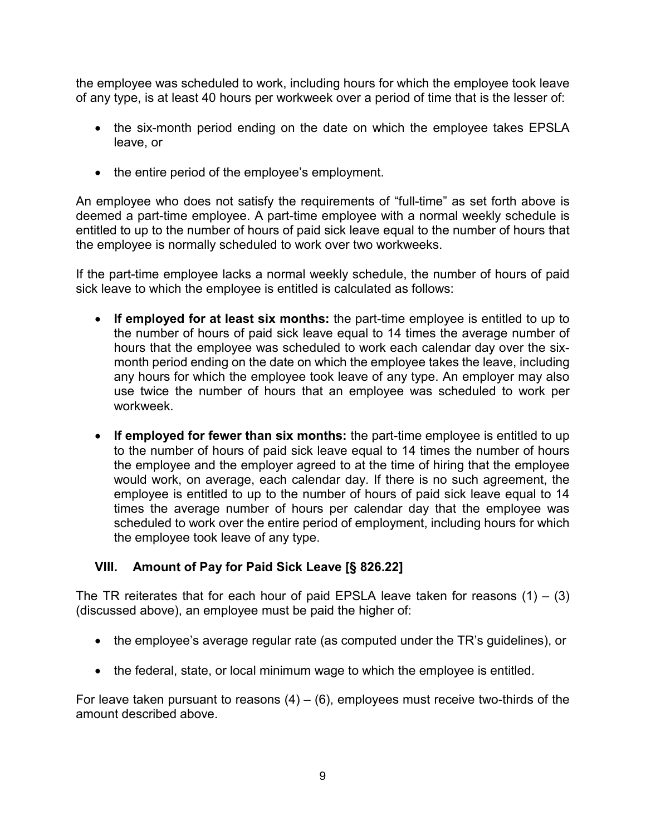the employee was scheduled to work, including hours for which the employee took leave of any type, is at least 40 hours per workweek over a period of time that is the lesser of:

- the six-month period ending on the date on which the employee takes EPSLA leave, or
- the entire period of the employee's employment.

An employee who does not satisfy the requirements of "full-time" as set forth above is deemed a part-time employee. A part-time employee with a normal weekly schedule is entitled to up to the number of hours of paid sick leave equal to the number of hours that the employee is normally scheduled to work over two workweeks.

If the part-time employee lacks a normal weekly schedule, the number of hours of paid sick leave to which the employee is entitled is calculated as follows:

- **If employed for at least six months:** the part-time employee is entitled to up to the number of hours of paid sick leave equal to 14 times the average number of hours that the employee was scheduled to work each calendar day over the sixmonth period ending on the date on which the employee takes the leave, including any hours for which the employee took leave of any type. An employer may also use twice the number of hours that an employee was scheduled to work per workweek.
- **If employed for fewer than six months:** the part-time employee is entitled to up to the number of hours of paid sick leave equal to 14 times the number of hours the employee and the employer agreed to at the time of hiring that the employee would work, on average, each calendar day. If there is no such agreement, the employee is entitled to up to the number of hours of paid sick leave equal to 14 times the average number of hours per calendar day that the employee was scheduled to work over the entire period of employment, including hours for which the employee took leave of any type.

### <span id="page-8-0"></span>**VIII. Amount of Pay for Paid Sick Leave [§ 826.22]**

The TR reiterates that for each hour of paid EPSLA leave taken for reasons  $(1) - (3)$ (discussed above), an employee must be paid the higher of:

- the employee's average regular rate (as computed under the TR's guidelines), or
- the federal, state, or local minimum wage to which the employee is entitled.

For leave taken pursuant to reasons  $(4) - (6)$ , employees must receive two-thirds of the amount described above.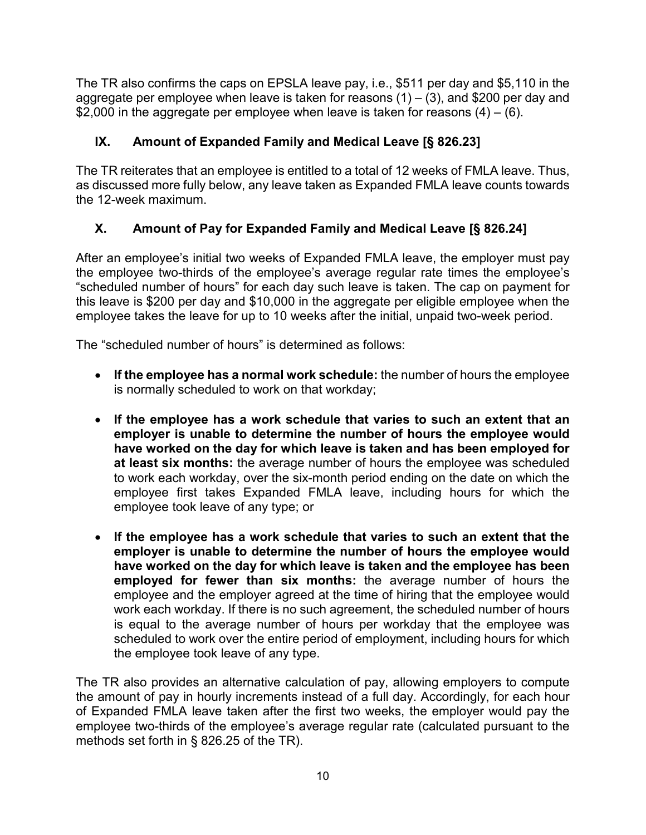The TR also confirms the caps on EPSLA leave pay, i.e., \$511 per day and \$5,110 in the aggregate per employee when leave is taken for reasons  $(1) - (3)$ , and \$200 per day and  $$2,000$  in the aggregate per employee when leave is taken for reasons (4) – (6).

# <span id="page-9-0"></span>**IX. Amount of Expanded Family and Medical Leave [§ 826.23]**

The TR reiterates that an employee is entitled to a total of 12 weeks of FMLA leave. Thus, as discussed more fully below, any leave taken as Expanded FMLA leave counts towards the 12-week maximum.

# <span id="page-9-1"></span>**X. Amount of Pay for Expanded Family and Medical Leave [§ 826.24]**

After an employee's initial two weeks of Expanded FMLA leave, the employer must pay the employee two-thirds of the employee's average regular rate times the employee's "scheduled number of hours" for each day such leave is taken. The cap on payment for this leave is \$200 per day and \$10,000 in the aggregate per eligible employee when the employee takes the leave for up to 10 weeks after the initial, unpaid two-week period.

The "scheduled number of hours" is determined as follows:

- **If the employee has a normal work schedule:** the number of hours the employee is normally scheduled to work on that workday;
- **If the employee has a work schedule that varies to such an extent that an employer is unable to determine the number of hours the employee would have worked on the day for which leave is taken and has been employed for at least six months:** the average number of hours the employee was scheduled to work each workday, over the six-month period ending on the date on which the employee first takes Expanded FMLA leave, including hours for which the employee took leave of any type; or
- **If the employee has a work schedule that varies to such an extent that the employer is unable to determine the number of hours the employee would have worked on the day for which leave is taken and the employee has been employed for fewer than six months:** the average number of hours the employee and the employer agreed at the time of hiring that the employee would work each workday. If there is no such agreement, the scheduled number of hours is equal to the average number of hours per workday that the employee was scheduled to work over the entire period of employment, including hours for which the employee took leave of any type.

The TR also provides an alternative calculation of pay, allowing employers to compute the amount of pay in hourly increments instead of a full day. Accordingly, for each hour of Expanded FMLA leave taken after the first two weeks, the employer would pay the employee two-thirds of the employee's average regular rate (calculated pursuant to the methods set forth in § 826.25 of the TR).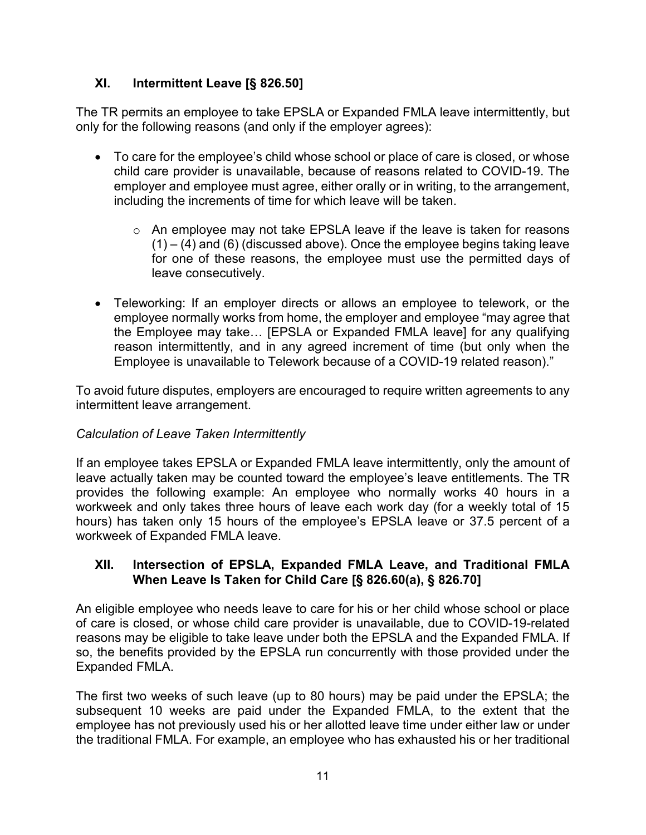### <span id="page-10-0"></span>**XI. Intermittent Leave [§ 826.50]**

The TR permits an employee to take EPSLA or Expanded FMLA leave intermittently, but only for the following reasons (and only if the employer agrees):

- To care for the employee's child whose school or place of care is closed, or whose child care provider is unavailable, because of reasons related to COVID-19. The employer and employee must agree, either orally or in writing, to the arrangement, including the increments of time for which leave will be taken.
	- $\circ$  An employee may not take EPSLA leave if the leave is taken for reasons  $(1) - (4)$  and  $(6)$  (discussed above). Once the employee begins taking leave for one of these reasons, the employee must use the permitted days of leave consecutively.
- Teleworking: If an employer directs or allows an employee to telework, or the employee normally works from home, the employer and employee "may agree that the Employee may take… [EPSLA or Expanded FMLA leave] for any qualifying reason intermittently, and in any agreed increment of time (but only when the Employee is unavailable to Telework because of a COVID-19 related reason)."

To avoid future disputes, employers are encouraged to require written agreements to any intermittent leave arrangement.

### *Calculation of Leave Taken Intermittently*

If an employee takes EPSLA or Expanded FMLA leave intermittently, only the amount of leave actually taken may be counted toward the employee's leave entitlements. The TR provides the following example: An employee who normally works 40 hours in a workweek and only takes three hours of leave each work day (for a weekly total of 15 hours) has taken only 15 hours of the employee's EPSLA leave or 37.5 percent of a workweek of Expanded FMLA leave.

### <span id="page-10-1"></span>**XII. Intersection of EPSLA, Expanded FMLA Leave, and Traditional FMLA When Leave Is Taken for Child Care [§ 826.60(a), § 826.70]**

An eligible employee who needs leave to care for his or her child whose school or place of care is closed, or whose child care provider is unavailable, due to COVID-19-related reasons may be eligible to take leave under both the EPSLA and the Expanded FMLA. If so, the benefits provided by the EPSLA run concurrently with those provided under the Expanded FMLA.

The first two weeks of such leave (up to 80 hours) may be paid under the EPSLA; the subsequent 10 weeks are paid under the Expanded FMLA, to the extent that the employee has not previously used his or her allotted leave time under either law or under the traditional FMLA. For example, an employee who has exhausted his or her traditional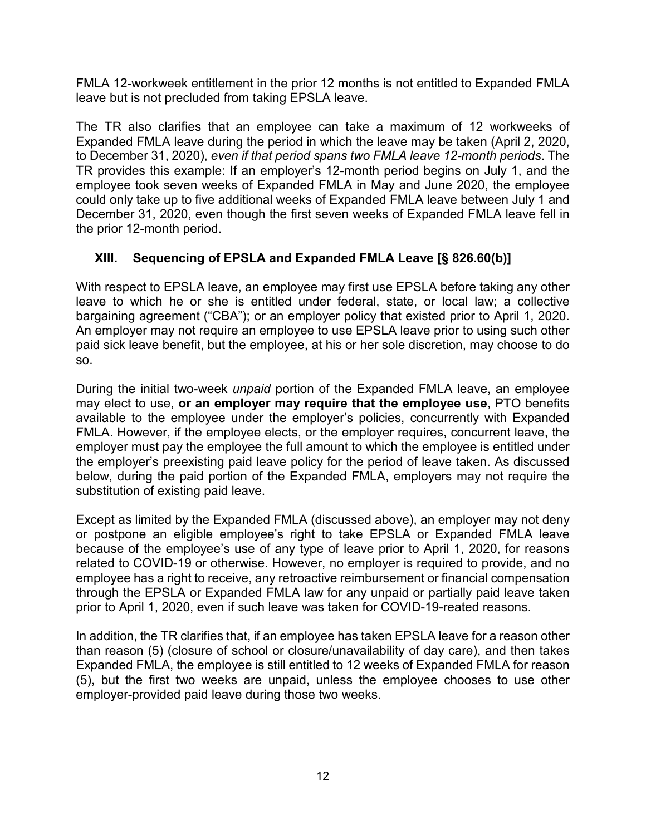FMLA 12-workweek entitlement in the prior 12 months is not entitled to Expanded FMLA leave but is not precluded from taking EPSLA leave.

The TR also clarifies that an employee can take a maximum of 12 workweeks of Expanded FMLA leave during the period in which the leave may be taken (April 2, 2020, to December 31, 2020), *even if that period spans two FMLA leave 12-month periods*. The TR provides this example: If an employer's 12-month period begins on July 1, and the employee took seven weeks of Expanded FMLA in May and June 2020, the employee could only take up to five additional weeks of Expanded FMLA leave between July 1 and December 31, 2020, even though the first seven weeks of Expanded FMLA leave fell in the prior 12-month period.

# <span id="page-11-0"></span>**XIII. Sequencing of EPSLA and Expanded FMLA Leave [§ 826.60(b)]**

With respect to EPSLA leave, an employee may first use EPSLA before taking any other leave to which he or she is entitled under federal, state, or local law; a collective bargaining agreement ("CBA"); or an employer policy that existed prior to April 1, 2020. An employer may not require an employee to use EPSLA leave prior to using such other paid sick leave benefit, but the employee, at his or her sole discretion, may choose to do so.

During the initial two-week *unpaid* portion of the Expanded FMLA leave, an employee may elect to use, **or an employer may require that the employee use**, PTO benefits available to the employee under the employer's policies, concurrently with Expanded FMLA. However, if the employee elects, or the employer requires, concurrent leave, the employer must pay the employee the full amount to which the employee is entitled under the employer's preexisting paid leave policy for the period of leave taken. As discussed below, during the paid portion of the Expanded FMLA, employers may not require the substitution of existing paid leave.

Except as limited by the Expanded FMLA (discussed above), an employer may not deny or postpone an eligible employee's right to take EPSLA or Expanded FMLA leave because of the employee's use of any type of leave prior to April 1, 2020, for reasons related to COVID-19 or otherwise. However, no employer is required to provide, and no employee has a right to receive, any retroactive reimbursement or financial compensation through the EPSLA or Expanded FMLA law for any unpaid or partially paid leave taken prior to April 1, 2020, even if such leave was taken for COVID-19-reated reasons.

In addition, the TR clarifies that, if an employee has taken EPSLA leave for a reason other than reason (5) (closure of school or closure/unavailability of day care), and then takes Expanded FMLA, the employee is still entitled to 12 weeks of Expanded FMLA for reason (5), but the first two weeks are unpaid, unless the employee chooses to use other employer-provided paid leave during those two weeks.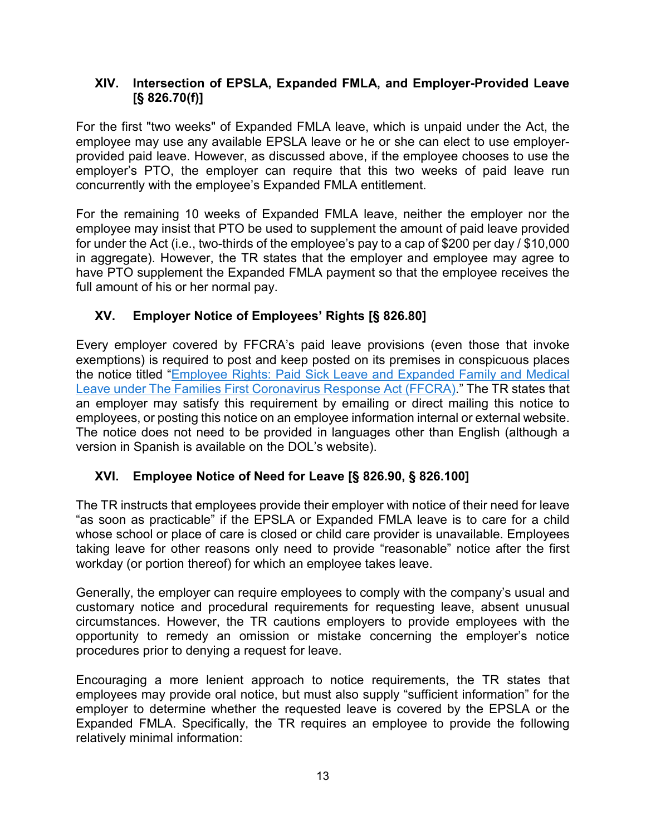### <span id="page-12-0"></span>**XIV. Intersection of EPSLA, Expanded FMLA, and Employer-Provided Leave [§ 826.70(f)]**

For the first "two weeks" of Expanded FMLA leave, which is unpaid under the Act, the employee may use any available EPSLA leave or he or she can elect to use employerprovided paid leave. However, as discussed above, if the employee chooses to use the employer's PTO, the employer can require that this two weeks of paid leave run concurrently with the employee's Expanded FMLA entitlement.

For the remaining 10 weeks of Expanded FMLA leave, neither the employer nor the employee may insist that PTO be used to supplement the amount of paid leave provided for under the Act (i.e., two-thirds of the employee's pay to a cap of \$200 per day / \$10,000 in aggregate). However, the TR states that the employer and employee may agree to have PTO supplement the Expanded FMLA payment so that the employee receives the full amount of his or her normal pay.

# <span id="page-12-1"></span>**XV. Employer Notice of Employees' Rights [§ 826.80]**

Every employer covered by FFCRA's paid leave provisions (even those that invoke exemptions) is required to post and keep posted on its premises in conspicuous places the notice titled ["Employee Rights: Paid Sick Leave and Expanded Family and Medical](https://www.dol.gov/sites/dolgov/files/WHD/posters/FFCRA_Poster_WH1422_Non-Federal.pdf)  [Leave under The Families First Coronavirus Response Act \(FFCRA\).](https://www.dol.gov/sites/dolgov/files/WHD/posters/FFCRA_Poster_WH1422_Non-Federal.pdf)" The TR states that an employer may satisfy this requirement by emailing or direct mailing this notice to employees, or posting this notice on an employee information internal or external website. The notice does not need to be provided in languages other than English (although a version in Spanish is available on the DOL's website).

### <span id="page-12-2"></span>**XVI. Employee Notice of Need for Leave [§ 826.90, § 826.100]**

The TR instructs that employees provide their employer with notice of their need for leave "as soon as practicable" if the EPSLA or Expanded FMLA leave is to care for a child whose school or place of care is closed or child care provider is unavailable. Employees taking leave for other reasons only need to provide "reasonable" notice after the first workday (or portion thereof) for which an employee takes leave.

Generally, the employer can require employees to comply with the company's usual and customary notice and procedural requirements for requesting leave, absent unusual circumstances. However, the TR cautions employers to provide employees with the opportunity to remedy an omission or mistake concerning the employer's notice procedures prior to denying a request for leave.

Encouraging a more lenient approach to notice requirements, the TR states that employees may provide oral notice, but must also supply "sufficient information" for the employer to determine whether the requested leave is covered by the EPSLA or the Expanded FMLA. Specifically, the TR requires an employee to provide the following relatively minimal information: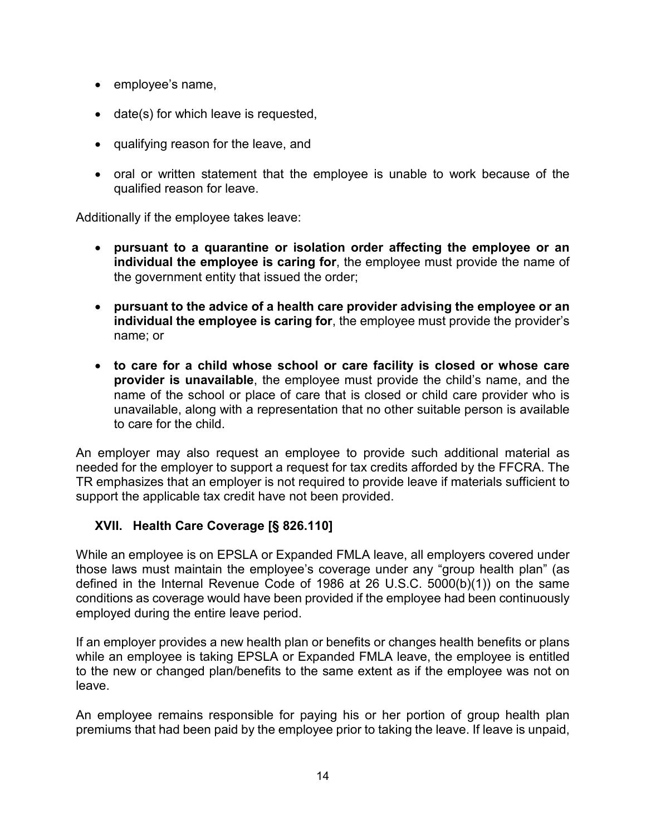- employee's name,
- date(s) for which leave is requested,
- qualifying reason for the leave, and
- oral or written statement that the employee is unable to work because of the qualified reason for leave.

Additionally if the employee takes leave:

- **pursuant to a quarantine or isolation order affecting the employee or an individual the employee is caring for**, the employee must provide the name of the government entity that issued the order;
- **pursuant to the advice of a health care provider advising the employee or an individual the employee is caring for**, the employee must provide the provider's name; or
- **to care for a child whose school or care facility is closed or whose care provider is unavailable**, the employee must provide the child's name, and the name of the school or place of care that is closed or child care provider who is unavailable, along with a representation that no other suitable person is available to care for the child.

An employer may also request an employee to provide such additional material as needed for the employer to support a request for tax credits afforded by the FFCRA. The TR emphasizes that an employer is not required to provide leave if materials sufficient to support the applicable tax credit have not been provided.

#### <span id="page-13-0"></span>**XVII. Health Care Coverage [§ 826.110]**

While an employee is on EPSLA or Expanded FMLA leave, all employers covered under those laws must maintain the employee's coverage under any "group health plan" (as defined in the Internal Revenue Code of 1986 at 26 U.S.C. 5000(b)(1)) on the same conditions as coverage would have been provided if the employee had been continuously employed during the entire leave period.

If an employer provides a new health plan or benefits or changes health benefits or plans while an employee is taking EPSLA or Expanded FMLA leave, the employee is entitled to the new or changed plan/benefits to the same extent as if the employee was not on leave.

An employee remains responsible for paying his or her portion of group health plan premiums that had been paid by the employee prior to taking the leave. If leave is unpaid,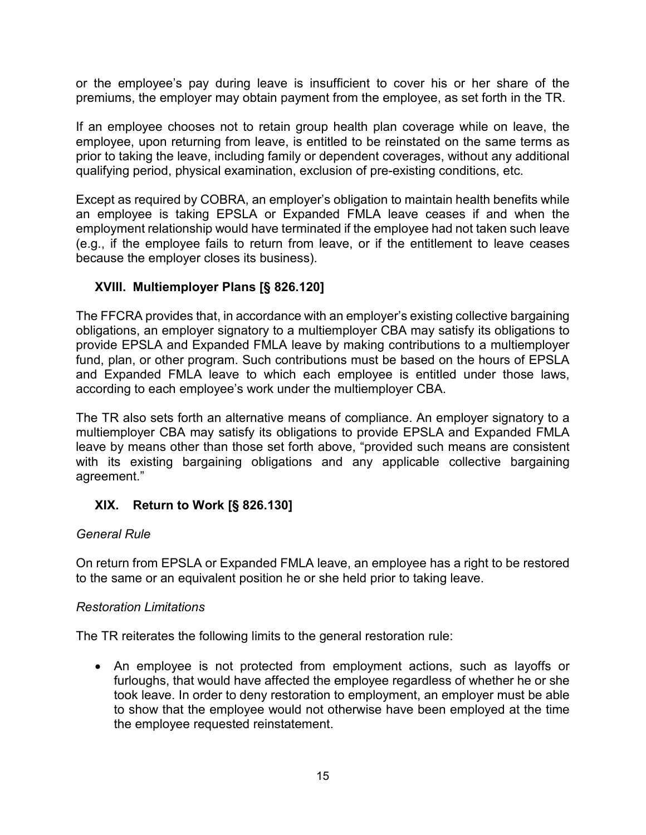or the employee's pay during leave is insufficient to cover his or her share of the premiums, the employer may obtain payment from the employee, as set forth in the TR.

If an employee chooses not to retain group health plan coverage while on leave, the employee, upon returning from leave, is entitled to be reinstated on the same terms as prior to taking the leave, including family or dependent coverages, without any additional qualifying period, physical examination, exclusion of pre-existing conditions, etc.

Except as required by COBRA, an employer's obligation to maintain health benefits while an employee is taking EPSLA or Expanded FMLA leave ceases if and when the employment relationship would have terminated if the employee had not taken such leave (e.g., if the employee fails to return from leave, or if the entitlement to leave ceases because the employer closes its business).

### <span id="page-14-0"></span>**XVIII. Multiemployer Plans [§ 826.120]**

The FFCRA provides that, in accordance with an employer's existing collective bargaining obligations, an employer signatory to a multiemployer CBA may satisfy its obligations to provide EPSLA and Expanded FMLA leave by making contributions to a multiemployer fund, plan, or other program. Such contributions must be based on the hours of EPSLA and Expanded FMLA leave to which each employee is entitled under those laws, according to each employee's work under the multiemployer CBA.

The TR also sets forth an alternative means of compliance. An employer signatory to a multiemployer CBA may satisfy its obligations to provide EPSLA and Expanded FMLA leave by means other than those set forth above, "provided such means are consistent with its existing bargaining obligations and any applicable collective bargaining agreement."

#### <span id="page-14-1"></span>**XIX. Return to Work [§ 826.130]**

#### *General Rule*

On return from EPSLA or Expanded FMLA leave, an employee has a right to be restored to the same or an equivalent position he or she held prior to taking leave.

#### *Restoration Limitations*

The TR reiterates the following limits to the general restoration rule:

• An employee is not protected from employment actions, such as layoffs or furloughs, that would have affected the employee regardless of whether he or she took leave. In order to deny restoration to employment, an employer must be able to show that the employee would not otherwise have been employed at the time the employee requested reinstatement.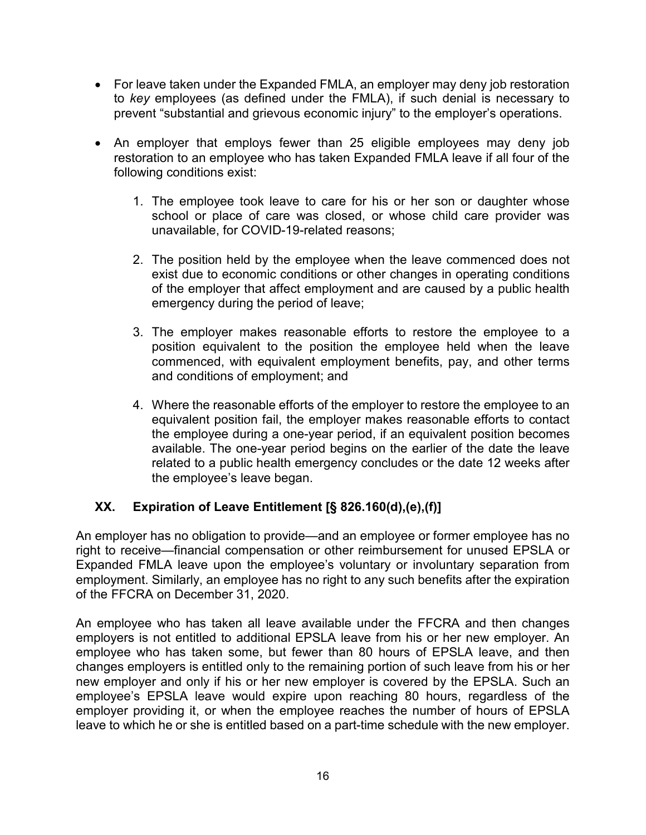- For leave taken under the Expanded FMLA, an employer may deny job restoration to *key* employees (as defined under the FMLA), if such denial is necessary to prevent "substantial and grievous economic injury" to the employer's operations.
- An employer that employs fewer than 25 eligible employees may deny job restoration to an employee who has taken Expanded FMLA leave if all four of the following conditions exist:
	- 1. The employee took leave to care for his or her son or daughter whose school or place of care was closed, or whose child care provider was unavailable, for COVID-19-related reasons;
	- 2. The position held by the employee when the leave commenced does not exist due to economic conditions or other changes in operating conditions of the employer that affect employment and are caused by a public health emergency during the period of leave;
	- 3. The employer makes reasonable efforts to restore the employee to a position equivalent to the position the employee held when the leave commenced, with equivalent employment benefits, pay, and other terms and conditions of employment; and
	- 4. Where the reasonable efforts of the employer to restore the employee to an equivalent position fail, the employer makes reasonable efforts to contact the employee during a one-year period, if an equivalent position becomes available. The one-year period begins on the earlier of the date the leave related to a public health emergency concludes or the date 12 weeks after the employee's leave began.

### <span id="page-15-0"></span>**XX. Expiration of Leave Entitlement [§ 826.160(d),(e),(f)]**

An employer has no obligation to provide—and an employee or former employee has no right to receive—financial compensation or other reimbursement for unused EPSLA or Expanded FMLA leave upon the employee's voluntary or involuntary separation from employment. Similarly, an employee has no right to any such benefits after the expiration of the FFCRA on December 31, 2020.

An employee who has taken all leave available under the FFCRA and then changes employers is not entitled to additional EPSLA leave from his or her new employer. An employee who has taken some, but fewer than 80 hours of EPSLA leave, and then changes employers is entitled only to the remaining portion of such leave from his or her new employer and only if his or her new employer is covered by the EPSLA. Such an employee's EPSLA leave would expire upon reaching 80 hours, regardless of the employer providing it, or when the employee reaches the number of hours of EPSLA leave to which he or she is entitled based on a part-time schedule with the new employer.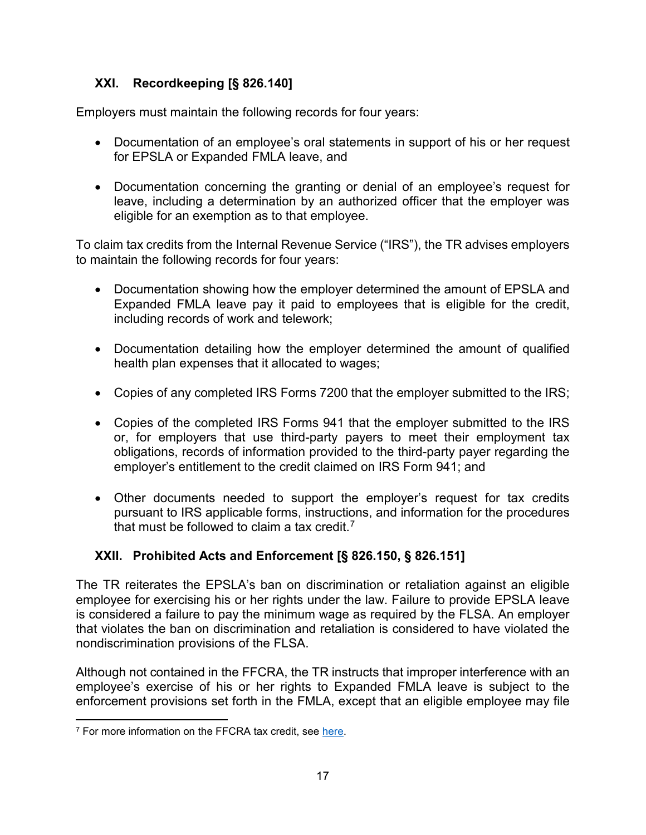# <span id="page-16-0"></span>**XXI. Recordkeeping [§ 826.140]**

Employers must maintain the following records for four years:

- Documentation of an employee's oral statements in support of his or her request for EPSLA or Expanded FMLA leave, and
- Documentation concerning the granting or denial of an employee's request for leave, including a determination by an authorized officer that the employer was eligible for an exemption as to that employee.

To claim tax credits from the Internal Revenue Service ("IRS"), the TR advises employers to maintain the following records for four years:

- Documentation showing how the employer determined the amount of EPSLA and Expanded FMLA leave pay it paid to employees that is eligible for the credit, including records of work and telework;
- Documentation detailing how the employer determined the amount of qualified health plan expenses that it allocated to wages;
- Copies of any completed IRS Forms 7200 that the employer submitted to the IRS;
- Copies of the completed IRS Forms 941 that the employer submitted to the IRS or, for employers that use third-party payers to meet their employment tax obligations, records of information provided to the third-party payer regarding the employer's entitlement to the credit claimed on IRS Form 941; and
- Other documents needed to support the employer's request for tax credits pursuant to IRS applicable forms, instructions, and information for the procedures that must be followed to claim a tax credit.<sup>[7](#page-16-2)</sup>

# <span id="page-16-1"></span>**XXII. Prohibited Acts and Enforcement [§ 826.150, § 826.151]**

The TR reiterates the EPSLA's ban on discrimination or retaliation against an eligible employee for exercising his or her rights under the law. Failure to provide EPSLA leave is considered a failure to pay the minimum wage as required by the FLSA. An employer that violates the ban on discrimination and retaliation is considered to have violated the nondiscrimination provisions of the FLSA.

Although not contained in the FFCRA, the TR instructs that improper interference with an employee's exercise of his or her rights to Expanded FMLA leave is subject to the enforcement provisions set forth in the FMLA, except that an eligible employee may file

<span id="page-16-2"></span> $\overline{\phantom{a}}$ <sup>7</sup> For more information on the FFCRA tax credit, see [here.](https://www.irs.gov/newsroom/covid-19-related-tax-credits-for-required-paid-leave-provided-by-small-and-midsize-businesses-faqs)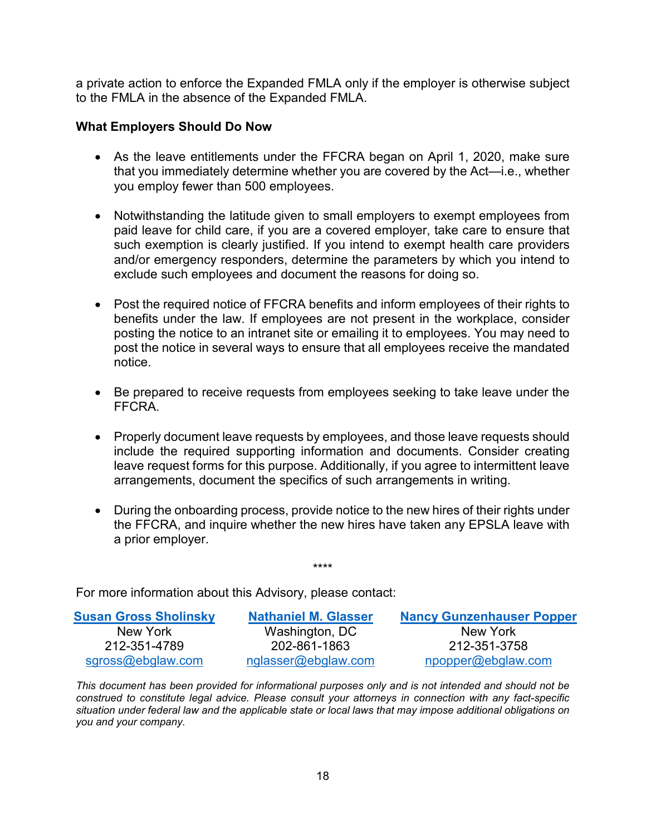a private action to enforce the Expanded FMLA only if the employer is otherwise subject to the FMLA in the absence of the Expanded FMLA.

#### **What Employers Should Do Now**

- As the leave entitlements under the FFCRA began on April 1, 2020, make sure that you immediately determine whether you are covered by the Act—i.e., whether you employ fewer than 500 employees.
- Notwithstanding the latitude given to small employers to exempt employees from paid leave for child care, if you are a covered employer, take care to ensure that such exemption is clearly justified. If you intend to exempt health care providers and/or emergency responders, determine the parameters by which you intend to exclude such employees and document the reasons for doing so.
- Post the required notice of FFCRA benefits and inform employees of their rights to benefits under the law. If employees are not present in the workplace, consider posting the notice to an intranet site or emailing it to employees. You may need to post the notice in several ways to ensure that all employees receive the mandated notice.
- Be prepared to receive requests from employees seeking to take leave under the FFCRA.
- Properly document leave requests by employees, and those leave requests should include the required supporting information and documents. Consider creating leave request forms for this purpose. Additionally, if you agree to intermittent leave arrangements, document the specifics of such arrangements in writing.
- During the onboarding process, provide notice to the new hires of their rights under the FFCRA, and inquire whether the new hires have taken any EPSLA leave with a prior employer.

For more information about this Advisory, please contact:

| <b>Susan Gross Sholinsky</b> | <b>Nathaniel M. Glasser</b> | <b>Nancy Gunzenhauser Popper</b> |
|------------------------------|-----------------------------|----------------------------------|
| New York                     | Washington, DC              | New York                         |
| 212-351-4789                 | 202-861-1863                | 212-351-3758                     |
| sgross@ebglaw.com            | nglasser@ebglaw.com         | npopper@ebglaw.com               |

\*\*\*\*

*This document has been provided for informational purposes only and is not intended and should not be construed to constitute legal advice. Please consult your attorneys in connection with any fact-specific situation under federal law and the applicable state or local laws that may impose additional obligations on you and your company.*